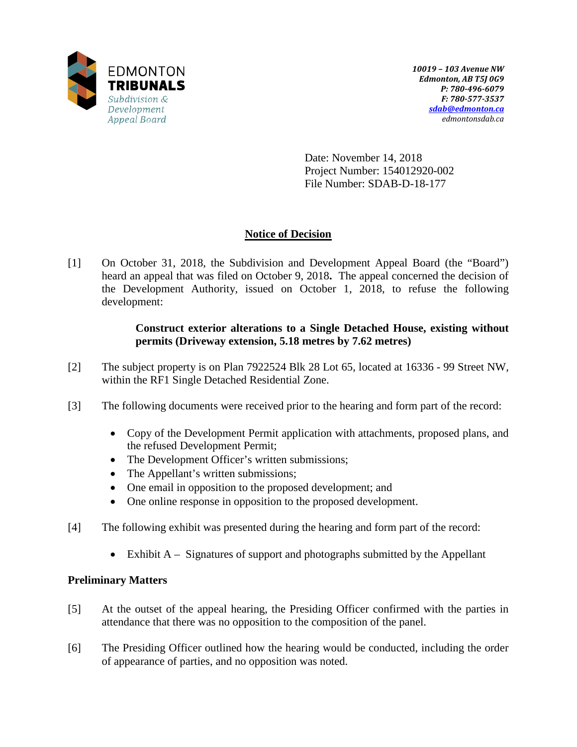

Date: November 14, 2018 Project Number: 154012920-002 File Number: SDAB-D-18-177

# **Notice of Decision**

[1] On October 31, 2018, the Subdivision and Development Appeal Board (the "Board") heard an appeal that was filed on October 9, 2018**.** The appeal concerned the decision of the Development Authority, issued on October 1, 2018, to refuse the following development:

# **Construct exterior alterations to a Single Detached House, existing without permits (Driveway extension, 5.18 metres by 7.62 metres)**

- [2] The subject property is on Plan 7922524 Blk 28 Lot 65, located at 16336 99 Street NW, within the RF1 Single Detached Residential Zone.
- [3] The following documents were received prior to the hearing and form part of the record:
	- Copy of the Development Permit application with attachments, proposed plans, and the refused Development Permit;
	- The Development Officer's written submissions;
	- The Appellant's written submissions;
	- One email in opposition to the proposed development; and
	- One online response in opposition to the proposed development.
- [4] The following exhibit was presented during the hearing and form part of the record:
	- Exhibit  $A -$  Signatures of support and photographs submitted by the Appellant

# **Preliminary Matters**

- [5] At the outset of the appeal hearing, the Presiding Officer confirmed with the parties in attendance that there was no opposition to the composition of the panel.
- [6] The Presiding Officer outlined how the hearing would be conducted, including the order of appearance of parties, and no opposition was noted.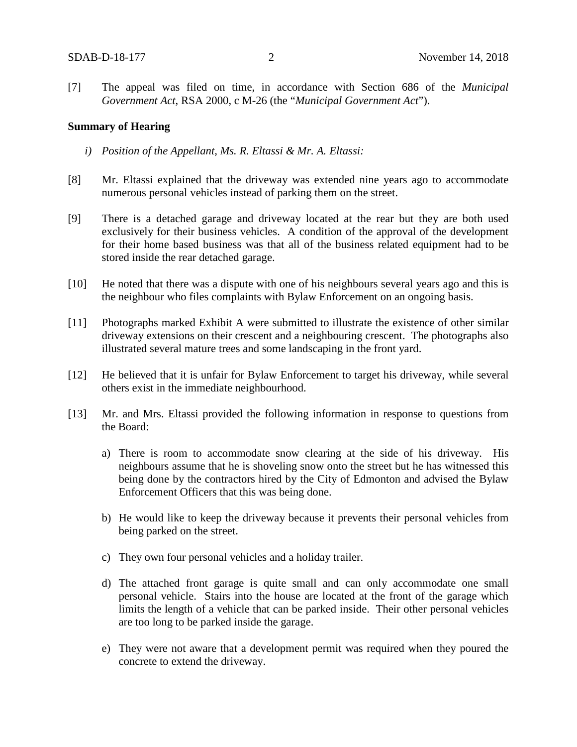[7] The appeal was filed on time, in accordance with Section 686 of the *Municipal Government Act*, RSA 2000, c M-26 (the "*Municipal Government Act*").

#### **Summary of Hearing**

- *i) Position of the Appellant, Ms. R. Eltassi & Mr. A. Eltassi:*
- [8] Mr. Eltassi explained that the driveway was extended nine years ago to accommodate numerous personal vehicles instead of parking them on the street.
- [9] There is a detached garage and driveway located at the rear but they are both used exclusively for their business vehicles. A condition of the approval of the development for their home based business was that all of the business related equipment had to be stored inside the rear detached garage.
- [10] He noted that there was a dispute with one of his neighbours several years ago and this is the neighbour who files complaints with Bylaw Enforcement on an ongoing basis.
- [11] Photographs marked Exhibit A were submitted to illustrate the existence of other similar driveway extensions on their crescent and a neighbouring crescent. The photographs also illustrated several mature trees and some landscaping in the front yard.
- [12] He believed that it is unfair for Bylaw Enforcement to target his driveway, while several others exist in the immediate neighbourhood.
- [13] Mr. and Mrs. Eltassi provided the following information in response to questions from the Board:
	- a) There is room to accommodate snow clearing at the side of his driveway. His neighbours assume that he is shoveling snow onto the street but he has witnessed this being done by the contractors hired by the City of Edmonton and advised the Bylaw Enforcement Officers that this was being done.
	- b) He would like to keep the driveway because it prevents their personal vehicles from being parked on the street.
	- c) They own four personal vehicles and a holiday trailer.
	- d) The attached front garage is quite small and can only accommodate one small personal vehicle. Stairs into the house are located at the front of the garage which limits the length of a vehicle that can be parked inside. Their other personal vehicles are too long to be parked inside the garage.
	- e) They were not aware that a development permit was required when they poured the concrete to extend the driveway.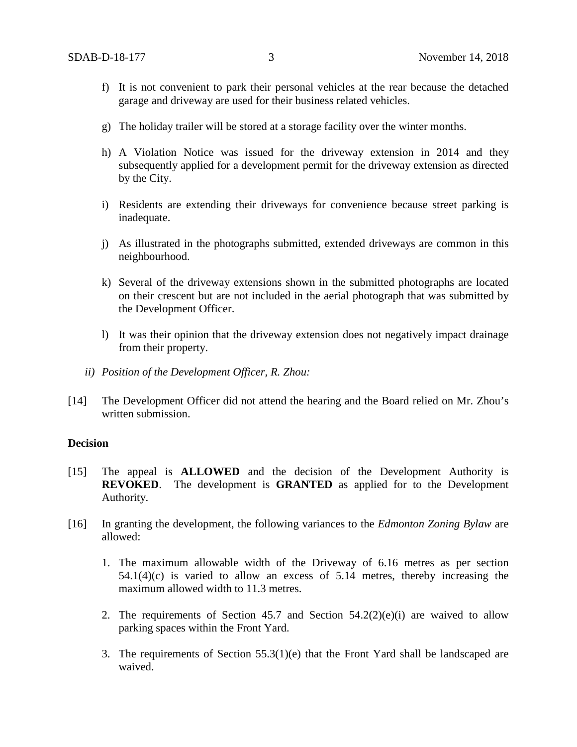- f) It is not convenient to park their personal vehicles at the rear because the detached garage and driveway are used for their business related vehicles.
- g) The holiday trailer will be stored at a storage facility over the winter months.
- h) A Violation Notice was issued for the driveway extension in 2014 and they subsequently applied for a development permit for the driveway extension as directed by the City.
- i) Residents are extending their driveways for convenience because street parking is inadequate.
- j) As illustrated in the photographs submitted, extended driveways are common in this neighbourhood.
- k) Several of the driveway extensions shown in the submitted photographs are located on their crescent but are not included in the aerial photograph that was submitted by the Development Officer.
- l) It was their opinion that the driveway extension does not negatively impact drainage from their property.
- *ii) Position of the Development Officer, R. Zhou:*
- [14] The Development Officer did not attend the hearing and the Board relied on Mr. Zhou's written submission.

### **Decision**

- [15] The appeal is **ALLOWED** and the decision of the Development Authority is **REVOKED**. The development is **GRANTED** as applied for to the Development Authority.
- [16] In granting the development, the following variances to the *Edmonton Zoning Bylaw* are allowed:
	- 1. The maximum allowable width of the Driveway of 6.16 metres as per section 54.1(4)(c) is varied to allow an excess of 5.14 metres, thereby increasing the maximum allowed width to 11.3 metres.
	- 2. The requirements of Section 45.7 and Section  $54.2(2)(e)(i)$  are waived to allow parking spaces within the Front Yard.
	- 3. The requirements of Section 55.3(1)(e) that the Front Yard shall be landscaped are waived.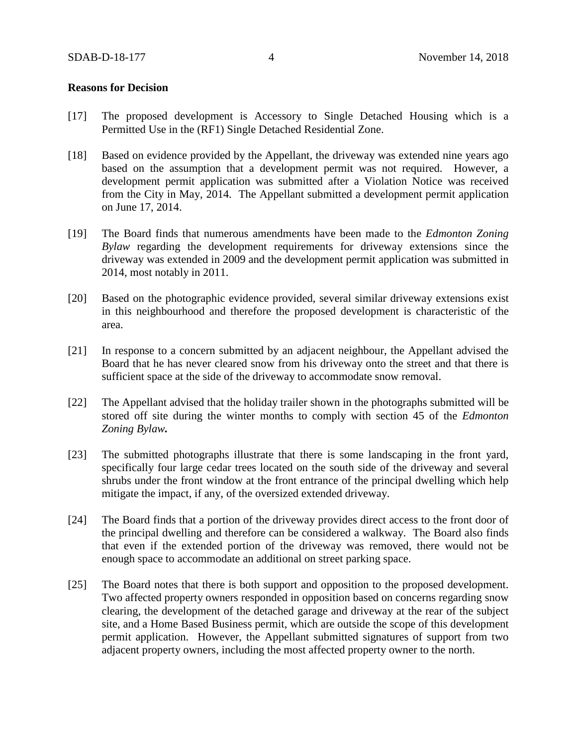#### **Reasons for Decision**

- [17] The proposed development is Accessory to Single Detached Housing which is a Permitted Use in the (RF1) Single Detached Residential Zone.
- [18] Based on evidence provided by the Appellant, the driveway was extended nine years ago based on the assumption that a development permit was not required. However, a development permit application was submitted after a Violation Notice was received from the City in May, 2014. The Appellant submitted a development permit application on June 17, 2014.
- [19] The Board finds that numerous amendments have been made to the *Edmonton Zoning Bylaw* regarding the development requirements for driveway extensions since the driveway was extended in 2009 and the development permit application was submitted in 2014, most notably in 2011.
- [20] Based on the photographic evidence provided, several similar driveway extensions exist in this neighbourhood and therefore the proposed development is characteristic of the area.
- [21] In response to a concern submitted by an adjacent neighbour, the Appellant advised the Board that he has never cleared snow from his driveway onto the street and that there is sufficient space at the side of the driveway to accommodate snow removal.
- [22] The Appellant advised that the holiday trailer shown in the photographs submitted will be stored off site during the winter months to comply with section 45 of the *Edmonton Zoning Bylaw.*
- [23] The submitted photographs illustrate that there is some landscaping in the front yard, specifically four large cedar trees located on the south side of the driveway and several shrubs under the front window at the front entrance of the principal dwelling which help mitigate the impact, if any, of the oversized extended driveway.
- [24] The Board finds that a portion of the driveway provides direct access to the front door of the principal dwelling and therefore can be considered a walkway. The Board also finds that even if the extended portion of the driveway was removed, there would not be enough space to accommodate an additional on street parking space.
- [25] The Board notes that there is both support and opposition to the proposed development. Two affected property owners responded in opposition based on concerns regarding snow clearing, the development of the detached garage and driveway at the rear of the subject site, and a Home Based Business permit, which are outside the scope of this development permit application. However, the Appellant submitted signatures of support from two adjacent property owners, including the most affected property owner to the north.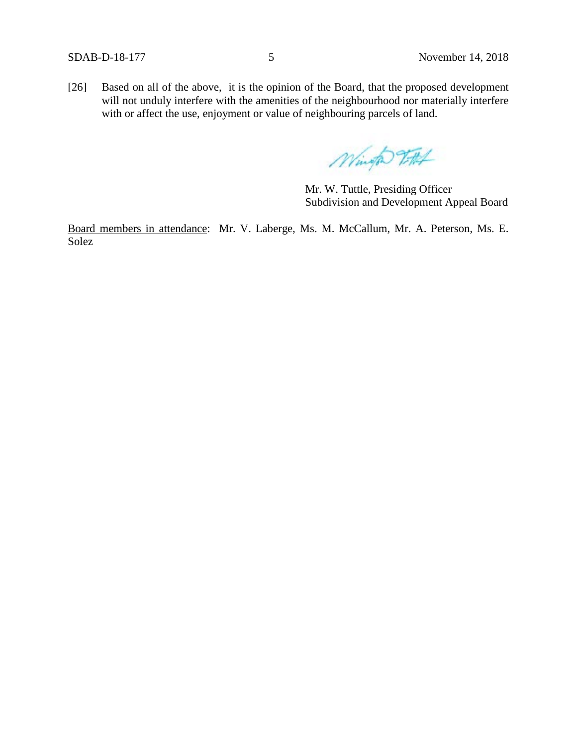[26] Based on all of the above, it is the opinion of the Board, that the proposed development will not unduly interfere with the amenities of the neighbourhood nor materially interfere with or affect the use, enjoyment or value of neighbouring parcels of land.

Wingto FA4

Mr. W. Tuttle, Presiding Officer Subdivision and Development Appeal Board

Board members in attendance: Mr. V. Laberge, Ms. M. McCallum, Mr. A. Peterson, Ms. E. Solez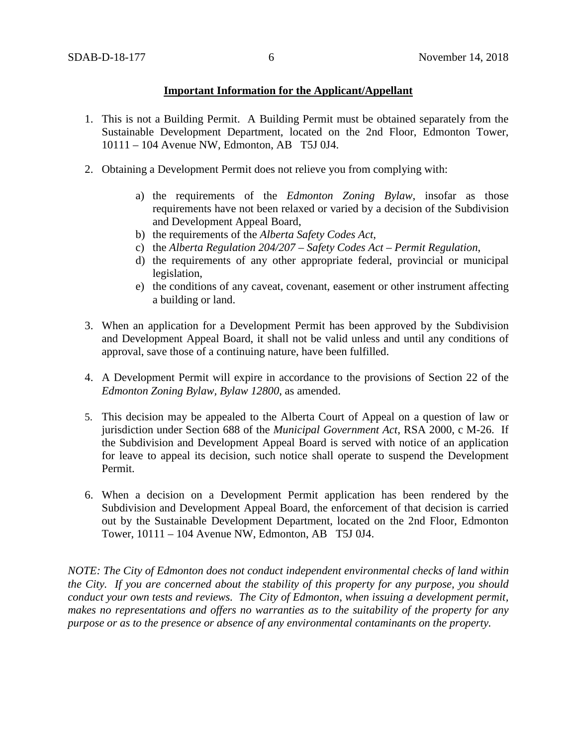### **Important Information for the Applicant/Appellant**

- 1. This is not a Building Permit. A Building Permit must be obtained separately from the Sustainable Development Department, located on the 2nd Floor, Edmonton Tower, 10111 – 104 Avenue NW, Edmonton, AB T5J 0J4.
- 2. Obtaining a Development Permit does not relieve you from complying with:
	- a) the requirements of the *Edmonton Zoning Bylaw*, insofar as those requirements have not been relaxed or varied by a decision of the Subdivision and Development Appeal Board,
	- b) the requirements of the *Alberta Safety Codes Act*,
	- c) the *Alberta Regulation 204/207 – Safety Codes Act – Permit Regulation*,
	- d) the requirements of any other appropriate federal, provincial or municipal legislation,
	- e) the conditions of any caveat, covenant, easement or other instrument affecting a building or land.
- 3. When an application for a Development Permit has been approved by the Subdivision and Development Appeal Board, it shall not be valid unless and until any conditions of approval, save those of a continuing nature, have been fulfilled.
- 4. A Development Permit will expire in accordance to the provisions of Section 22 of the *Edmonton Zoning Bylaw, Bylaw 12800*, as amended.
- 5. This decision may be appealed to the Alberta Court of Appeal on a question of law or jurisdiction under Section 688 of the *Municipal Government Act*, RSA 2000, c M-26. If the Subdivision and Development Appeal Board is served with notice of an application for leave to appeal its decision, such notice shall operate to suspend the Development Permit.
- 6. When a decision on a Development Permit application has been rendered by the Subdivision and Development Appeal Board, the enforcement of that decision is carried out by the Sustainable Development Department, located on the 2nd Floor, Edmonton Tower, 10111 – 104 Avenue NW, Edmonton, AB T5J 0J4.

*NOTE: The City of Edmonton does not conduct independent environmental checks of land within the City. If you are concerned about the stability of this property for any purpose, you should conduct your own tests and reviews. The City of Edmonton, when issuing a development permit, makes no representations and offers no warranties as to the suitability of the property for any purpose or as to the presence or absence of any environmental contaminants on the property.*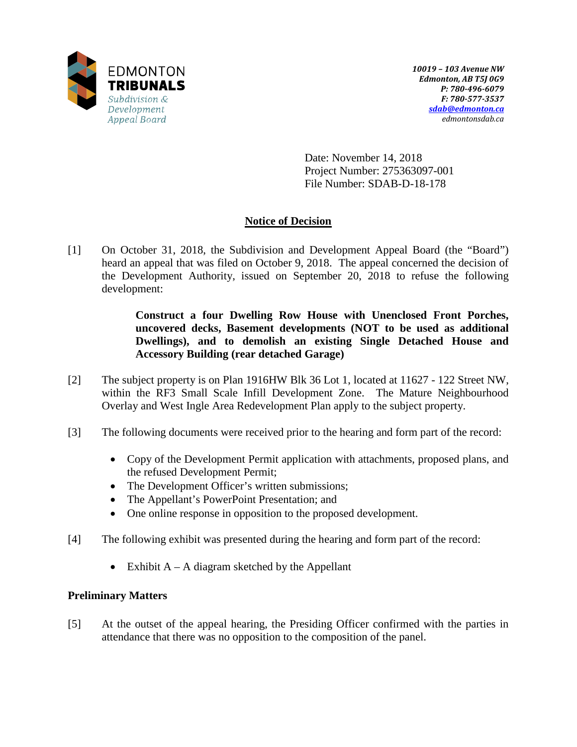

Date: November 14, 2018 Project Number: 275363097-001 File Number: SDAB-D-18-178

# **Notice of Decision**

[1] On October 31, 2018, the Subdivision and Development Appeal Board (the "Board") heard an appeal that was filed on October 9, 2018. The appeal concerned the decision of the Development Authority, issued on September 20, 2018 to refuse the following development:

> **Construct a four Dwelling Row House with Unenclosed Front Porches, uncovered decks, Basement developments (NOT to be used as additional Dwellings), and to demolish an existing Single Detached House and Accessory Building (rear detached Garage)**

- [2] The subject property is on Plan 1916HW Blk 36 Lot 1, located at 11627 122 Street NW, within the RF3 Small Scale Infill Development Zone. The Mature Neighbourhood Overlay and West Ingle Area Redevelopment Plan apply to the subject property.
- [3] The following documents were received prior to the hearing and form part of the record:
	- Copy of the Development Permit application with attachments, proposed plans, and the refused Development Permit;
	- The Development Officer's written submissions;
	- The Appellant's PowerPoint Presentation; and
	- One online response in opposition to the proposed development.
- [4] The following exhibit was presented during the hearing and form part of the record:
	- Exhibit  $A A$  diagram sketched by the Appellant

## **Preliminary Matters**

[5] At the outset of the appeal hearing, the Presiding Officer confirmed with the parties in attendance that there was no opposition to the composition of the panel.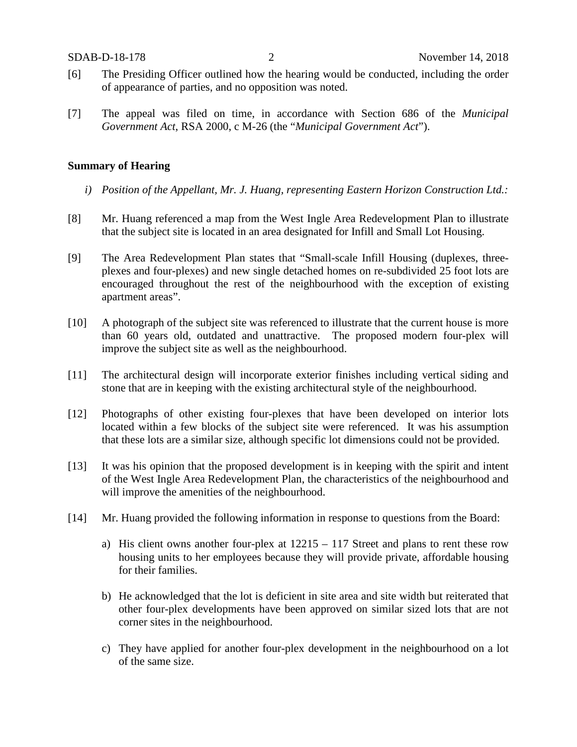- [6] The Presiding Officer outlined how the hearing would be conducted, including the order of appearance of parties, and no opposition was noted.
- [7] The appeal was filed on time, in accordance with Section 686 of the *Municipal Government Act*, RSA 2000, c M-26 (the "*Municipal Government Act*").

### **Summary of Hearing**

- *i) Position of the Appellant, Mr. J. Huang, representing Eastern Horizon Construction Ltd.:*
- [8] Mr. Huang referenced a map from the West Ingle Area Redevelopment Plan to illustrate that the subject site is located in an area designated for Infill and Small Lot Housing.
- [9] The Area Redevelopment Plan states that "Small-scale Infill Housing (duplexes, threeplexes and four-plexes) and new single detached homes on re-subdivided 25 foot lots are encouraged throughout the rest of the neighbourhood with the exception of existing apartment areas".
- [10] A photograph of the subject site was referenced to illustrate that the current house is more than 60 years old, outdated and unattractive. The proposed modern four-plex will improve the subject site as well as the neighbourhood.
- [11] The architectural design will incorporate exterior finishes including vertical siding and stone that are in keeping with the existing architectural style of the neighbourhood.
- [12] Photographs of other existing four-plexes that have been developed on interior lots located within a few blocks of the subject site were referenced. It was his assumption that these lots are a similar size, although specific lot dimensions could not be provided.
- [13] It was his opinion that the proposed development is in keeping with the spirit and intent of the West Ingle Area Redevelopment Plan, the characteristics of the neighbourhood and will improve the amenities of the neighbourhood.
- [14] Mr. Huang provided the following information in response to questions from the Board:
	- a) His client owns another four-plex at 12215 117 Street and plans to rent these row housing units to her employees because they will provide private, affordable housing for their families.
	- b) He acknowledged that the lot is deficient in site area and site width but reiterated that other four-plex developments have been approved on similar sized lots that are not corner sites in the neighbourhood.
	- c) They have applied for another four-plex development in the neighbourhood on a lot of the same size.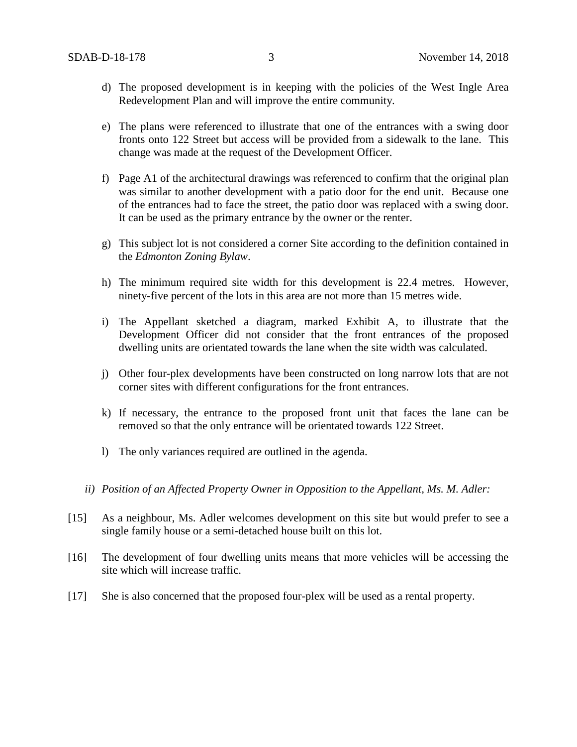- d) The proposed development is in keeping with the policies of the West Ingle Area Redevelopment Plan and will improve the entire community.
- e) The plans were referenced to illustrate that one of the entrances with a swing door fronts onto 122 Street but access will be provided from a sidewalk to the lane. This change was made at the request of the Development Officer.
- f) Page A1 of the architectural drawings was referenced to confirm that the original plan was similar to another development with a patio door for the end unit. Because one of the entrances had to face the street, the patio door was replaced with a swing door. It can be used as the primary entrance by the owner or the renter.
- g) This subject lot is not considered a corner Site according to the definition contained in the *Edmonton Zoning Bylaw*.
- h) The minimum required site width for this development is 22.4 metres. However, ninety-five percent of the lots in this area are not more than 15 metres wide.
- i) The Appellant sketched a diagram, marked Exhibit A, to illustrate that the Development Officer did not consider that the front entrances of the proposed dwelling units are orientated towards the lane when the site width was calculated.
- j) Other four-plex developments have been constructed on long narrow lots that are not corner sites with different configurations for the front entrances.
- k) If necessary, the entrance to the proposed front unit that faces the lane can be removed so that the only entrance will be orientated towards 122 Street.
- l) The only variances required are outlined in the agenda.
- *ii) Position of an Affected Property Owner in Opposition to the Appellant, Ms. M. Adler:*
- [15] As a neighbour, Ms. Adler welcomes development on this site but would prefer to see a single family house or a semi-detached house built on this lot.
- [16] The development of four dwelling units means that more vehicles will be accessing the site which will increase traffic.
- [17] She is also concerned that the proposed four-plex will be used as a rental property.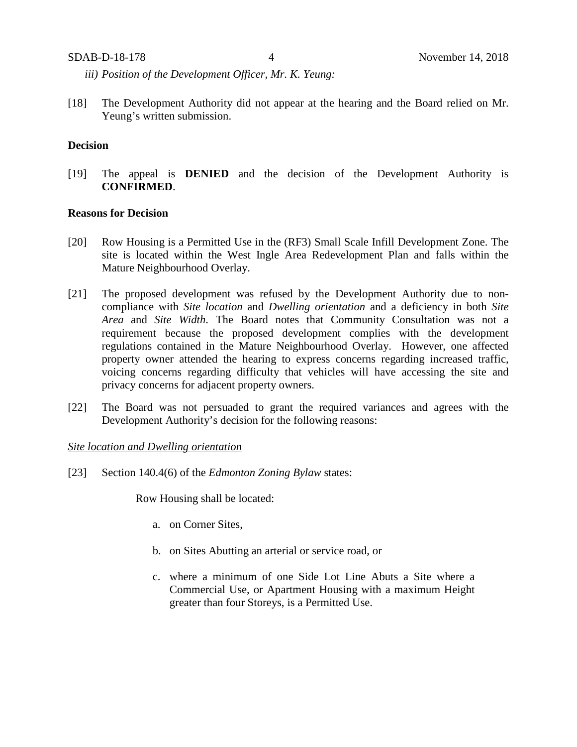*iii) Position of the Development Officer, Mr. K. Yeung:*

[18] The Development Authority did not appear at the hearing and the Board relied on Mr. Yeung's written submission.

## **Decision**

[19] The appeal is **DENIED** and the decision of the Development Authority is **CONFIRMED**.

#### **Reasons for Decision**

- [20] Row Housing is a Permitted Use in the (RF3) Small Scale Infill Development Zone. The site is located within the West Ingle Area Redevelopment Plan and falls within the Mature Neighbourhood Overlay.
- [21] The proposed development was refused by the Development Authority due to noncompliance with *Site location* and *Dwelling orientation* and a deficiency in both *Site Area* and *Site Width*. The Board notes that Community Consultation was not a requirement because the proposed development complies with the development regulations contained in the Mature Neighbourhood Overlay. However, one affected property owner attended the hearing to express concerns regarding increased traffic, voicing concerns regarding difficulty that vehicles will have accessing the site and privacy concerns for adjacent property owners.
- [22] The Board was not persuaded to grant the required variances and agrees with the Development Authority's decision for the following reasons:

#### *Site location and Dwelling orientation*

[23] Section 140.4(6) of the *Edmonton Zoning Bylaw* states:

Row Housing shall be located:

- a. on Corner Sites,
- b. on Sites Abutting an arterial or service road, or
- c. where a minimum of one Side Lot Line Abuts a Site where a Commercial Use, or Apartment Housing with a maximum Height greater than four Storeys, is a Permitted Use.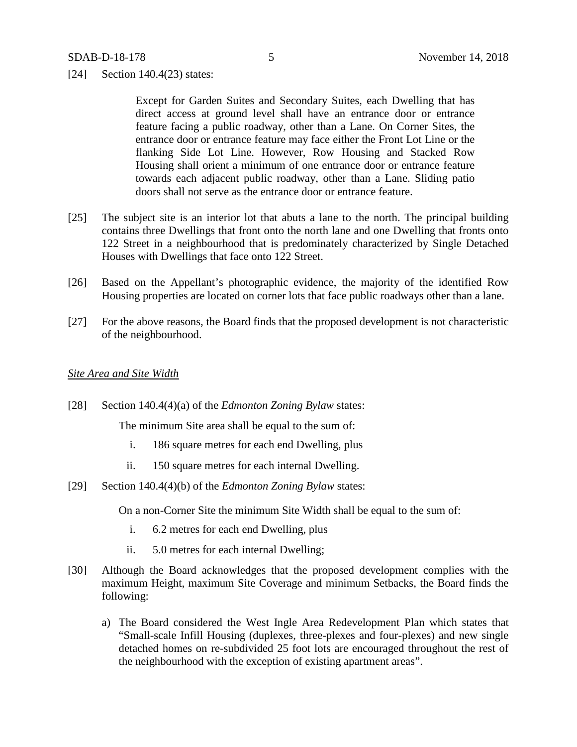[24] Section 140.4(23) states:

Except for Garden Suites and Secondary Suites, each Dwelling that has direct access at ground level shall have an entrance door or entrance feature facing a public roadway, other than a Lane. On Corner Sites, the entrance door or entrance feature may face either the Front Lot Line or the flanking Side Lot Line. However, Row Housing and Stacked Row Housing shall orient a minimum of one entrance door or entrance feature towards each adjacent public roadway, other than a Lane. Sliding patio doors shall not serve as the entrance door or entrance feature.

- [25] The subject site is an interior lot that abuts a lane to the north. The principal building contains three Dwellings that front onto the north lane and one Dwelling that fronts onto 122 Street in a neighbourhood that is predominately characterized by Single Detached Houses with Dwellings that face onto 122 Street.
- [26] Based on the Appellant's photographic evidence, the majority of the identified Row Housing properties are located on corner lots that face public roadways other than a lane.
- [27] For the above reasons, the Board finds that the proposed development is not characteristic of the neighbourhood.

#### *Site Area and Site Width*

[28] Section 140.4(4)(a) of the *Edmonton Zoning Bylaw* states:

The minimum Site area shall be equal to the sum of:

- i. [186 square](javascript:void(0);) metres for each end Dwelling, plus
- ii. 150 [square](javascript:void(0);) metres for each internal Dwelling.
- [29] Section 140.4(4)(b) of the *Edmonton Zoning Bylaw* states:

On a non-Corner Site the minimum Site Width shall be equal to the sum of:

- i. [6.2](javascript:void(0);) metres for each end Dwelling, plus
- ii. [5.0](javascript:void(0);) metres for each internal Dwelling;
- [30] Although the Board acknowledges that the proposed development complies with the maximum Height, maximum Site Coverage and minimum Setbacks, the Board finds the following:
	- a) The Board considered the West Ingle Area Redevelopment Plan which states that "Small-scale Infill Housing (duplexes, three-plexes and four-plexes) and new single detached homes on re-subdivided 25 foot lots are encouraged throughout the rest of the neighbourhood with the exception of existing apartment areas".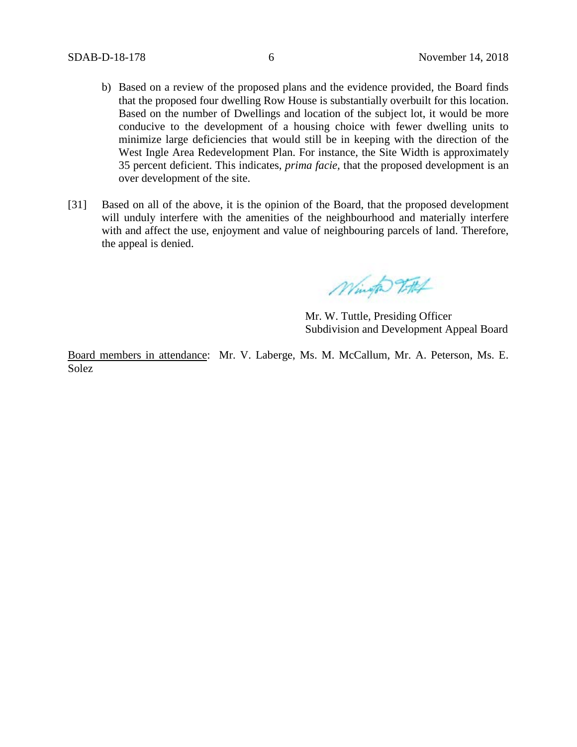- b) Based on a review of the proposed plans and the evidence provided, the Board finds that the proposed four dwelling Row House is substantially overbuilt for this location. Based on the number of Dwellings and location of the subject lot, it would be more conducive to the development of a housing choice with fewer dwelling units to minimize large deficiencies that would still be in keeping with the direction of the West Ingle Area Redevelopment Plan. For instance, the Site Width is approximately 35 percent deficient. This indicates, *prima facie,* that the proposed development is an over development of the site.
- [31] Based on all of the above, it is the opinion of the Board, that the proposed development will unduly interfere with the amenities of the neighbourhood and materially interfere with and affect the use, enjoyment and value of neighbouring parcels of land. Therefore, the appeal is denied.

Wingto Tott

Mr. W. Tuttle, Presiding Officer Subdivision and Development Appeal Board

Board members in attendance: Mr. V. Laberge, Ms. M. McCallum, Mr. A. Peterson, Ms. E. Solez